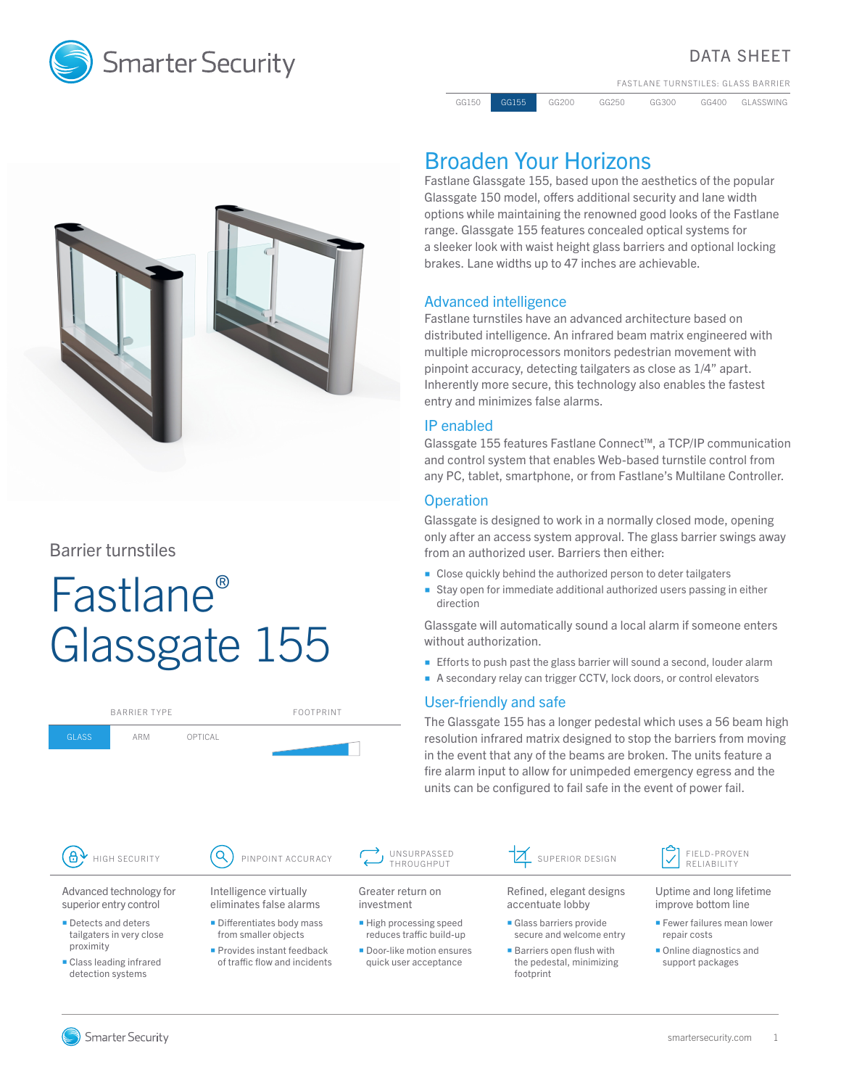

# DATA SHEET

FASTLANE TURNSTILES: GLASS BARRIER

GG150 GG155 GG200 GG250 GG300 GG400 GLASSWING



Barrier turnstiles

# Fastlane® Glassgate 155

|                                                                                                                | <b>BARRIER TYPF</b> |                                                    | <b>FOOTPRINT</b>              |                             |  |  |
|----------------------------------------------------------------------------------------------------------------|---------------------|----------------------------------------------------|-------------------------------|-----------------------------|--|--|
| <b>GLASS</b><br>ARM                                                                                            |                     | OPTICAL                                            |                               |                             |  |  |
|                                                                                                                |                     |                                                    |                               |                             |  |  |
|                                                                                                                |                     |                                                    |                               |                             |  |  |
|                                                                                                                |                     |                                                    |                               |                             |  |  |
|                                                                                                                |                     |                                                    |                               |                             |  |  |
| <b>HIGH SECURITY</b>                                                                                           |                     |                                                    | PINPOINT ACCURACY             | UNSU                        |  |  |
| Advanced technology for<br>superior entry control                                                              |                     | Intelligence virtually<br>eliminates false alarms  |                               | Greater reti<br>investment  |  |  |
| • Detects and deters<br>tailgaters in very close<br>proximity<br>• Class leading infrared<br>detection systems |                     | • Differentiates body mass<br>from smaller objects |                               | ■ High proce<br>reduces tra |  |  |
|                                                                                                                |                     | <b>Provides instant feedback</b>                   | of traffic flow and incidents | Door-like m<br>quick user   |  |  |

# Broaden Your Horizons

Fastlane Glassgate 155, based upon the aesthetics of the popular Glassgate 150 model, offers additional security and lane width options while maintaining the renowned good looks of the Fastlane range. Glassgate 155 features concealed optical systems for a sleeker look with waist height glass barriers and optional locking brakes. Lane widths up to 47 inches are achievable.

# Advanced intelligence

Fastlane turnstiles have an advanced architecture based on distributed intelligence. An infrared beam matrix engineered with multiple microprocessors monitors pedestrian movement with pinpoint accuracy, detecting tailgaters as close as 1/4" apart. Inherently more secure, this technology also enables the fastest entry and minimizes false alarms.

# IP enabled

Glassgate 155 features Fastlane Connect™, a TCP/IP communication and control system that enables Web-based turnstile control from any PC, tablet, smartphone, or from Fastlane's Multilane Controller.

## **Operation**

Glassgate is designed to work in a normally closed mode, opening only after an access system approval. The glass barrier swings away from an authorized user. Barriers then either:

- Close quickly behind the authorized person to deter tailgaters
- Stay open for immediate additional authorized users passing in either direction

Glassgate will automatically sound a local alarm if someone enters without authorization.

- **Efforts to push past the glass barrier will sound a second, louder alarm**
- A secondary relay can trigger CCTV, lock doors, or control elevators

## User-friendly and safe

The Glassgate 155 has a longer pedestal which uses a 56 beam high resolution infrared matrix designed to stop the barriers from moving in the event that any of the beams are broken. The units feature a fire alarm input to allow for unimpeded emergency egress and the units can be configured to fail safe in the event of power fail.